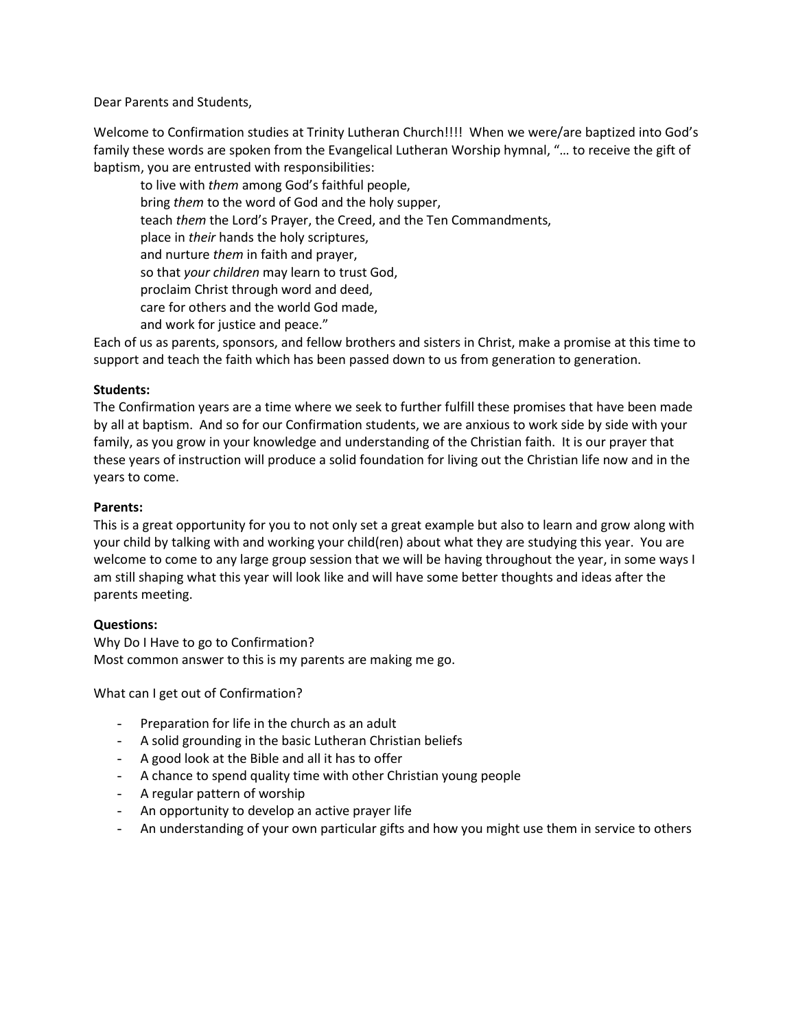Dear Parents and Students,

Welcome to Confirmation studies at Trinity Lutheran Church!!!! When we were/are baptized into God's family these words are spoken from the Evangelical Lutheran Worship hymnal, "… to receive the gift of baptism, you are entrusted with responsibilities:

to live with *them* among God's faithful people, bring *them* to the word of God and the holy supper, teach *them* the Lord's Prayer, the Creed, and the Ten Commandments, place in *their* hands the holy scriptures, and nurture *them* in faith and prayer, so that *your children* may learn to trust God, proclaim Christ through word and deed, care for others and the world God made, and work for justice and peace."

Each of us as parents, sponsors, and fellow brothers and sisters in Christ, make a promise at this time to support and teach the faith which has been passed down to us from generation to generation.

## **Students:**

The Confirmation years are a time where we seek to further fulfill these promises that have been made by all at baptism. And so for our Confirmation students, we are anxious to work side by side with your family, as you grow in your knowledge and understanding of the Christian faith. It is our prayer that these years of instruction will produce a solid foundation for living out the Christian life now and in the years to come.

## **Parents:**

This is a great opportunity for you to not only set a great example but also to learn and grow along with your child by talking with and working your child(ren) about what they are studying this year. You are welcome to come to any large group session that we will be having throughout the year, in some ways I am still shaping what this year will look like and will have some better thoughts and ideas after the parents meeting.

## **Questions:**

Why Do I Have to go to Confirmation? Most common answer to this is my parents are making me go.

What can I get out of Confirmation?

- Preparation for life in the church as an adult
- A solid grounding in the basic Lutheran Christian beliefs
- A good look at the Bible and all it has to offer
- A chance to spend quality time with other Christian young people
- A regular pattern of worship
- An opportunity to develop an active prayer life
- An understanding of your own particular gifts and how you might use them in service to others